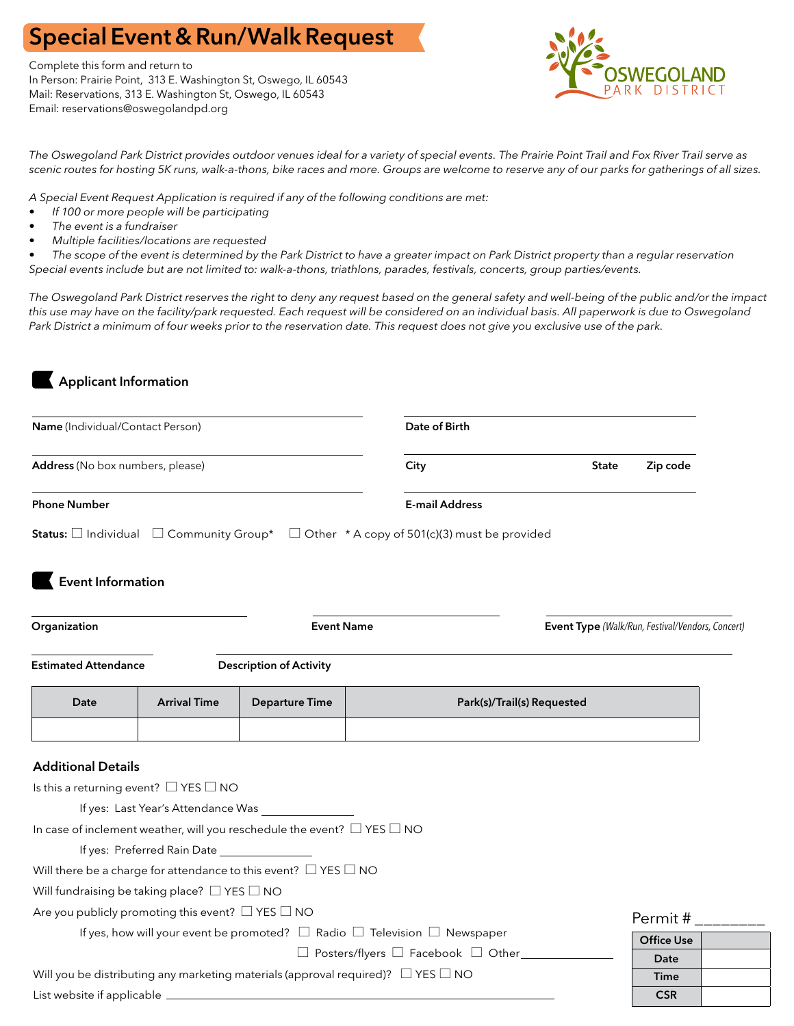# Special Event & Run/Walk Request

Complete this form and return to In Person: Prairie Point, 313 E. Washington St, Oswego, IL 60543 Mail: Reservations, 313 E. Washington St, Oswego, IL 60543 Email: reservations@oswegolandpd.org



*The Oswegoland Park District provides outdoor venues ideal for a variety of special events. The Prairie Point Trail and Fox River Trail serve as scenic routes for hosting 5K runs, walk-a-thons, bike races and more. Groups are welcome to reserve any of our parks for gatherings of all sizes.*

*A Special Event Request Application is required if any of the following conditions are met:*

- *• If 100 or more people will be participating*
- *• The event is a fundraiser*

Applicant Information

*• Multiple facilities/locations are requested*

*• The scope of the event is determined by the Park District to have a greater impact on Park District property than a regular reservation Special events include but are not limited to: walk-a-thons, triathlons, parades, festivals, concerts, group parties/events.*

*The Oswegoland Park District reserves the right to deny any request based on the general safety and well-being of the public and/or the impact this use may have on the facility/park requested. Each request will be considered on an individual basis. All paperwork is due to Oswegoland Park District a minimum of four weeks prior to the reservation date. This request does not give you exclusive use of the park.* 

# Office Use Date Time **CSR** Name (Individual/Contact Person) and the control of Birth Date of Birth Address (No box numbers, please) and the control of the City City City State Zip code Phone Number E-mail Address **Status:**  $\Box$  Individual  $\Box$  Community Group\*  $\Box$  Other \* A copy of 501(c)(3) must be provided Date Arrival Time Departure Time **Park(s)/Trail(s)** Requested Organization Event Name Event Type *(Walk/Run, Festival/Vendors, Concert)* Estimated Attendance **Description of Activity** Event Information Additional Details Is this a returning event?  $\Box$  YES  $\Box$  NO If yes: Last Year's Attendance Was In case of inclement weather, will you reschedule the event?  $\Box$  YES  $\Box$  NO If yes: Preferred Rain Date Will there be a charge for attendance to this event?  $\Box$  YES  $\Box$  NO Will fundraising be taking place?  $\Box$  YES  $\Box$  NO Are you publicly promoting this event?  $\Box$  YES  $\Box$  NO If yes, how will your event be promoted?  $\Box$  Radio  $\Box$  Television  $\Box$  Newspaper  $\Box$  Posters/flyers  $\Box$  Facebook  $\Box$  Other Will you be distributing any marketing materials (approval required)?  $\Box$  YES  $\Box$  NO List website if applicable Permit # \_\_\_\_\_\_\_\_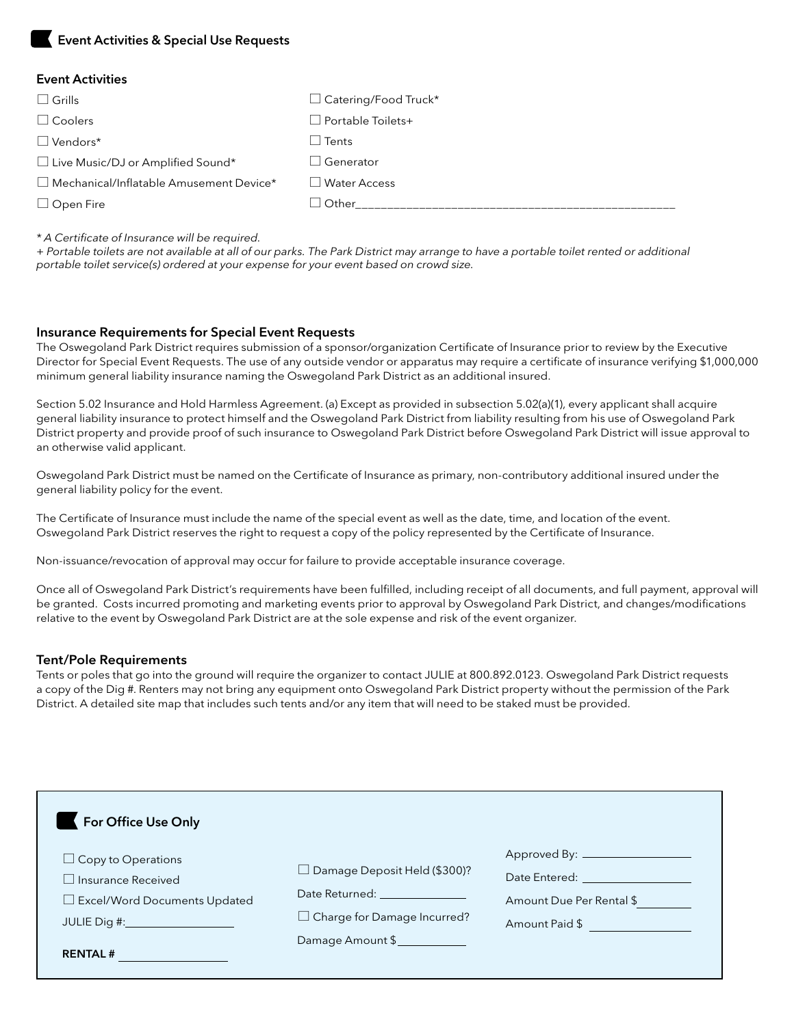## Event Activities & Special Use Requests

## Event Activities

| $\Box$ Catering/Food Truck* |
|-----------------------------|
| $\Box$ Portable Toilets+    |
| $\Box$ Tents                |
| $\Box$ Generator            |
| □ Water Access              |
| $\Box$ Other                |
|                             |

*\* A Certificate of Insurance will be required.*

*+ Portable toilets are not available at all of our parks. The Park District may arrange to have a portable toilet rented or additional portable toilet service(s) ordered at your expense for your event based on crowd size.*

## Insurance Requirements for Special Event Requests

The Oswegoland Park District requires submission of a sponsor/organization Certificate of Insurance prior to review by the Executive Director for Special Event Requests. The use of any outside vendor or apparatus may require a certificate of insurance verifying \$1,000,000 minimum general liability insurance naming the Oswegoland Park District as an additional insured.

Section 5.02 Insurance and Hold Harmless Agreement. (a) Except as provided in subsection 5.02(a)(1), every applicant shall acquire general liability insurance to protect himself and the Oswegoland Park District from liability resulting from his use of Oswegoland Park District property and provide proof of such insurance to Oswegoland Park District before Oswegoland Park District will issue approval to an otherwise valid applicant.

Oswegoland Park District must be named on the Certificate of Insurance as primary, non-contributory additional insured under the general liability policy for the event.

The Certificate of Insurance must include the name of the special event as well as the date, time, and location of the event. Oswegoland Park District reserves the right to request a copy of the policy represented by the Certificate of Insurance.

Non-issuance/revocation of approval may occur for failure to provide acceptable insurance coverage.

Once all of Oswegoland Park District's requirements have been fulfilled, including receipt of all documents, and full payment, approval will be granted. Costs incurred promoting and marketing events prior to approval by Oswegoland Park District, and changes/modifications relative to the event by Oswegoland Park District are at the sole expense and risk of the event organizer.

## Tent/Pole Requirements

Tents or poles that go into the ground will require the organizer to contact JULIE at 800.892.0123. Oswegoland Park District requests a copy of the Dig #. Renters may not bring any equipment onto Oswegoland Park District property without the permission of the Park District. A detailed site map that includes such tents and/or any item that will need to be staked must be provided.

| For Office Use Only                                              |                                                                              |                                                                                                                                                                                                                               |
|------------------------------------------------------------------|------------------------------------------------------------------------------|-------------------------------------------------------------------------------------------------------------------------------------------------------------------------------------------------------------------------------|
| $\Box$ Copy to Operations<br>$\Box$ Insurance Received           | $\Box$ Damage Deposit Held (\$300)?                                          | Date Entered: The Case of the Case of the Case of the Case of the Case of the Case of the Case of the Case of the Case of the Case of the Case of the Case of the Case of the Case of the Case of the Case of the Case of the |
| Excel/Word Documents Updated<br>JULIE Dig #: ___________________ | Date Returned: <u>________________</u><br>$\Box$ Charge for Damage Incurred? | Amount Due Per Rental \$<br>Amount Paid \$                                                                                                                                                                                    |
| <b>RENTAL#</b>                                                   | Damage Amount \$                                                             |                                                                                                                                                                                                                               |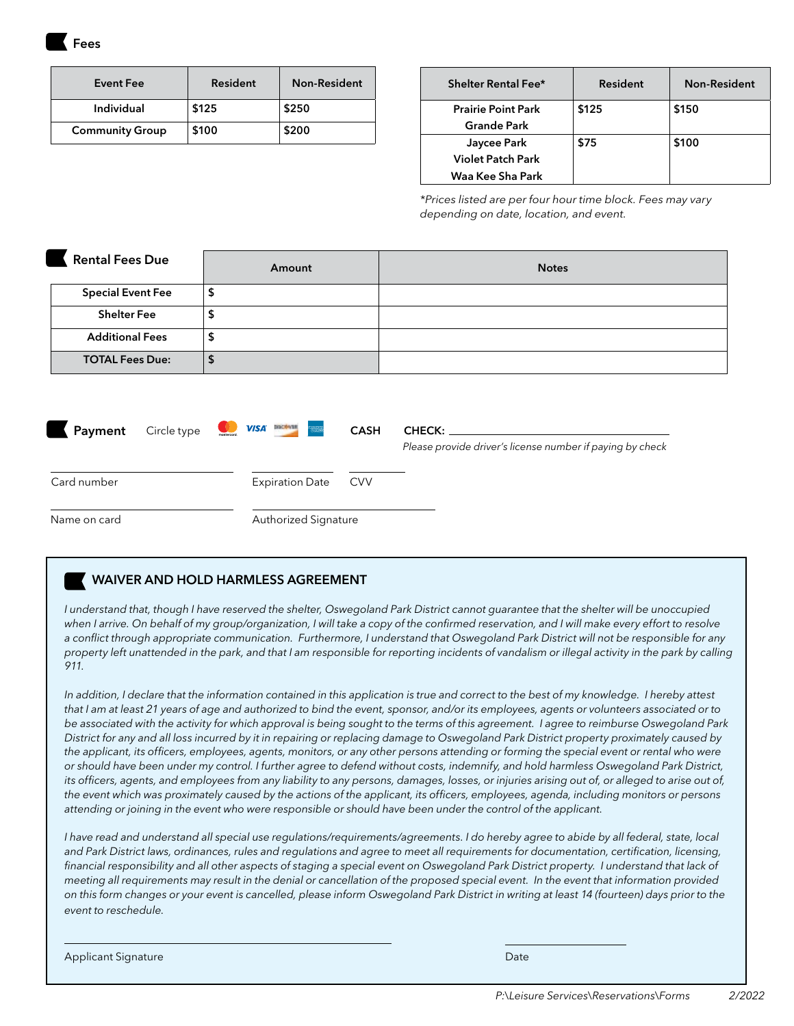Fees

| <b>Event Fee</b>       | Resident | <b>Non-Resident</b> |
|------------------------|----------|---------------------|
| Individual             | \$125    | \$250               |
| <b>Community Group</b> | \$100    | \$200               |

| Shelter Rental Fee*       | <b>Resident</b> | <b>Non-Resident</b> |
|---------------------------|-----------------|---------------------|
| <b>Prairie Point Park</b> | \$125           | \$150               |
| <b>Grande Park</b>        |                 |                     |
| Jaycee Park               | \$75            | \$100               |
| <b>Violet Patch Park</b>  |                 |                     |
| Waa Kee Sha Park          |                 |                     |

*\*Prices listed are per four hour time block. Fees may vary depending on date, location, and event.*

| <b>Rental Fees Due</b>   | Amount | <b>Notes</b> |
|--------------------------|--------|--------------|
| <b>Special Event Fee</b> | \$     |              |
| <b>Shelter Fee</b>       | \$     |              |
| <b>Additional Fees</b>   | \$     |              |
| <b>TOTAL Fees Due:</b>   | \$     |              |

| Payment      | Circle type | <b>NO.</b> | pacters<br><b>VISA</b><br>$\frac{97674337533}{183331834}$ | <b>CASH</b> | <b>CHECK:</b><br>Please provide driver's license number if paying by check |
|--------------|-------------|------------|-----------------------------------------------------------|-------------|----------------------------------------------------------------------------|
| Card number  |             |            | <b>Expiration Date</b>                                    | <b>CVV</b>  |                                                                            |
| Name on card |             |            | Authorized Signature                                      |             |                                                                            |

# WAIVER AND HOLD HARMLESS AGREEMENT

*I understand that, though I have reserved the shelter, Oswegoland Park District cannot guarantee that the shelter will be unoccupied when I arrive. On behalf of my group/organization, I will take a copy of the confirmed reservation, and I will make every effort to resolve a conflict through appropriate communication. Furthermore, I understand that Oswegoland Park District will not be responsible for any property left unattended in the park, and that I am responsible for reporting incidents of vandalism or illegal activity in the park by calling 911.* 

*In addition, I declare that the information contained in this application is true and correct to the best of my knowledge. I hereby attest that I am at least 21 years of age and authorized to bind the event, sponsor, and/or its employees, agents or volunteers associated or to be associated with the activity for which approval is being sought to the terms of this agreement. I agree to reimburse Oswegoland Park District for any and all loss incurred by it in repairing or replacing damage to Oswegoland Park District property proximately caused by the applicant, its officers, employees, agents, monitors, or any other persons attending or forming the special event or rental who were or should have been under my control. I further agree to defend without costs, indemnify, and hold harmless Oswegoland Park District,*  its officers, agents, and employees from any liability to any persons, damages, losses, or injuries arising out of, or alleged to arise out of, *the event which was proximately caused by the actions of the applicant, its officers, employees, agenda, including monitors or persons attending or joining in the event who were responsible or should have been under the control of the applicant.*

*I have read and understand all special use regulations/requirements/agreements. I do hereby agree to abide by all federal, state, local and Park District laws, ordinances, rules and regulations and agree to meet all requirements for documentation, certification, licensing, financial responsibility and all other aspects of staging a special event on Oswegoland Park District property. I understand that lack of meeting all requirements may result in the denial or cancellation of the proposed special event. In the event that information provided on this form changes or your event is cancelled, please inform Oswegoland Park District in writing at least 14 (fourteen) days prior to the event to reschedule.*

Applicant Signature Date Date of the Date of the Date of the Date Date of the Date of the Date of the Date of the Date of the Date of the Date of the Date of the Date of the Date of the Date of the Date of the Date of the